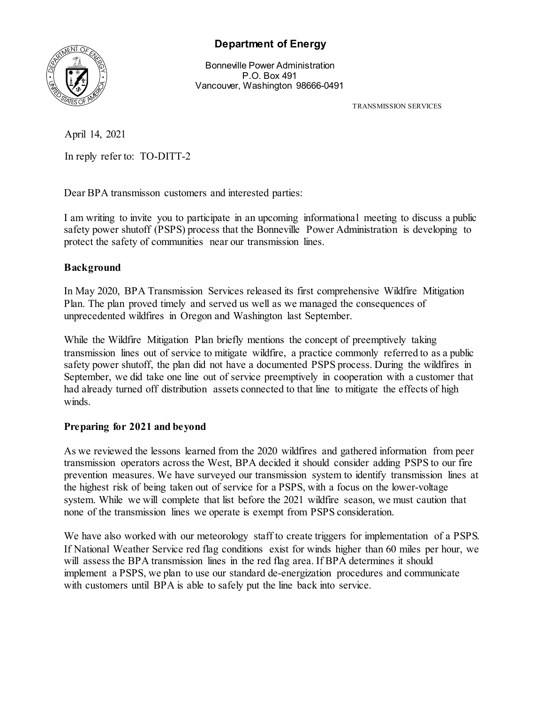

## **Department of Energy**

Bonneville Power Administration P.O. Box 491 Vancouver, Washington 98666-0491

TRANSMISSION SERVICES

April 14, 2021

In reply refer to: TO-DITT-2

Dear BPA transmisson customers and interested parties:

I am writing to invite you to participate in an upcoming informational meeting to discuss a public safety power shutoff (PSPS) process that the Bonneville Power Administration is developing to protect the safety of communities near our transmission lines.

## **Background**

In May 2020, BPA Transmission Services released its first comprehensive Wildfire Mitigation Plan. The plan proved timely and served us well as we managed the consequences of unprecedented wildfires in Oregon and Washington last September.

While the Wildfire Mitigation Plan briefly mentions the concept of preemptively taking transmission lines out of service to mitigate wildfire, a practice commonly referred to as a public safety power shutoff, the plan did not have a documented PSPS process. During the wildfires in September, we did take one line out of service preemptively in cooperation with a customer that had already turned off distribution assets connected to that line to mitigate the effects of high winds.

## **Preparing for 2021 and beyond**

As we reviewed the lessons learned from the 2020 wildfires and gathered information from peer transmission operators across the West, BPA decided it should consider adding PSPS to our fire prevention measures. We have surveyed our transmission system to identify transmission lines at the highest risk of being taken out of service for a PSPS, with a focus on the lower-voltage system. While we will complete that list before the 2021 wildfire season, we must caution that none of the transmission lines we operate is exempt from PSPS consideration.

We have also worked with our meteorology staff to create triggers for implementation of a PSPS. If National Weather Service red flag conditions exist for winds higher than 60 miles per hour, we will assess the BPA transmission lines in the red flag area. If BPA determines it should implement a PSPS, we plan to use our standard de-energization procedures and communicate with customers until BPA is able to safely put the line back into service.